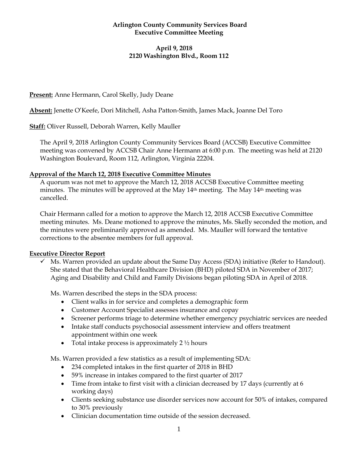### **Arlington County Community Services Board Executive Committee Meeting**

## **April 9, 2018 2120 Washington Blvd., Room 112**

**Present:** Anne Hermann, Carol Skelly, Judy Deane

**Absent:** Jenette O'Keefe, Dori Mitchell, Asha Patton-Smith, James Mack, Joanne Del Toro

**Staff:** Oliver Russell, Deborah Warren, Kelly Mauller

The April 9, 2018 Arlington County Community Services Board (ACCSB) Executive Committee meeting was convened by ACCSB Chair Anne Hermann at 6:00 p.m. The meeting was held at 2120 Washington Boulevard, Room 112, Arlington, Virginia 22204.

#### **Approval of the March 12, 2018 Executive Committee Minutes**

A quorum was not met to approve the March 12, 2018 ACCSB Executive Committee meeting minutes. The minutes will be approved at the May  $14<sup>th</sup>$  meeting. The May  $14<sup>th</sup>$  meeting was cancelled.

Chair Hermann called for a motion to approve the March 12, 2018 ACCSB Executive Committee meeting minutes. Ms. Deane motioned to approve the minutes, Ms. Skelly seconded the motion, and the minutes were preliminarily approved as amended. Ms. Mauller will forward the tentative corrections to the absentee members for full approval.

# **Executive Director Report**

 $\checkmark$  Ms. Warren provided an update about the Same Day Access (SDA) initiative (Refer to Handout). She stated that the Behavioral Healthcare Division (BHD) piloted SDA in November of 2017; Aging and Disability and Child and Family Divisions began piloting SDA in April of 2018.

Ms. Warren described the steps in the SDA process:

- Client walks in for service and completes a demographic form
- Customer Account Specialist assesses insurance and copay
- Screener performs triage to determine whether emergency psychiatric services are needed
- Intake staff conducts psychosocial assessment interview and offers treatment appointment within one week
- Total intake process is approximately  $2\frac{1}{2}$  hours

Ms. Warren provided a few statistics as a result of implementing SDA:

- 234 completed intakes in the first quarter of 2018 in BHD
- 59% increase in intakes compared to the first quarter of 2017
- Time from intake to first visit with a clinician decreased by 17 days (currently at 6 working days)
- Clients seeking substance use disorder services now account for 50% of intakes, compared to 30% previously
- Clinician documentation time outside of the session decreased.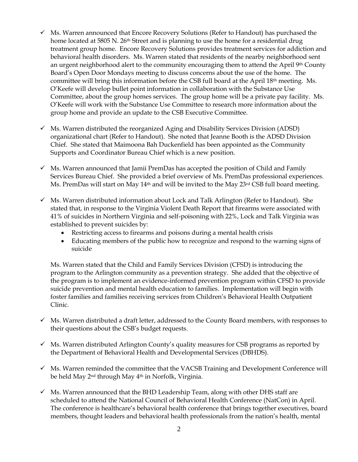- $\checkmark$  Ms. Warren announced that Encore Recovery Solutions (Refer to Handout) has purchased the home located at 5805 N. 26<sup>th</sup> Street and is planning to use the home for a residential drug treatment group home. Encore Recovery Solutions provides treatment services for addiction and behavioral health disorders. Ms. Warren stated that residents of the nearby neighborhood sent an urgent neighborhood alert to the community encouraging them to attend the April 9th County Board's Open Door Mondays meeting to discuss concerns about the use of the home. The committee will bring this information before the CSB full board at the April 18th meeting. Ms. O'Keefe will develop bullet point information in collaboration with the Substance Use Committee, about the group homes services. The group home will be a private pay facility. Ms. O'Keefe will work with the Substance Use Committee to research more information about the group home and provide an update to the CSB Executive Committee.
- $\checkmark$  Ms. Warren distributed the reorganized Aging and Disability Services Division (ADSD) organizational chart (Refer to Handout). She noted that Jeanne Booth is the ADSD Division Chief. She stated that Maimoona Bah Duckenfield has been appointed as the Community Supports and Coordinator Bureau Chief which is a new position.
- $\checkmark$  Ms. Warren announced that Jamii PremDas has accepted the position of Child and Family Services Bureau Chief. She provided a brief overview of Ms. PremDas professional experiences. Ms. PremDas will start on May 14<sup>th</sup> and will be invited to the May 23<sup>rd</sup> CSB full board meeting.
- $\checkmark$  Ms. Warren distributed information about Lock and Talk Arlington (Refer to Handout). She stated that, in response to the Virginia Violent Death Report that firearms were associated with 41% of suicides in Northern Virginia and self-poisoning with 22%, Lock and Talk Virginia was established to prevent suicides by:
	- Restricting access to firearms and poisons during a mental health crisis
	- Educating members of the public how to recognize and respond to the warning signs of suicide

Ms. Warren stated that the Child and Family Services Division (CFSD) is introducing the program to the Arlington community as a prevention strategy. She added that the objective of the program is to implement an evidence-informed prevention program within CFSD to provide suicide prevention and mental health education to families. Implementation will begin with foster families and families receiving services from Children's Behavioral Health Outpatient Clinic.

- $\checkmark$  Ms. Warren distributed a draft letter, addressed to the County Board members, with responses to their questions about the CSB's budget requests.
- $\checkmark$  Ms. Warren distributed Arlington County's quality measures for CSB programs as reported by the Department of Behavioral Health and Developmental Services (DBHDS).
- $\checkmark$  Ms. Warren reminded the committee that the VACSB Training and Development Conference will be held May 2nd through May 4th in Norfolk, Virginia.
- $\checkmark$  Ms. Warren announced that the BHD Leadership Team, along with other DHS staff are scheduled to attend the National Council of Behavioral Health Conference (NatCon) in April. The conference is healthcare's behavioral health conference that brings together executives, board members, thought leaders and behavioral health professionals from the nation's health, mental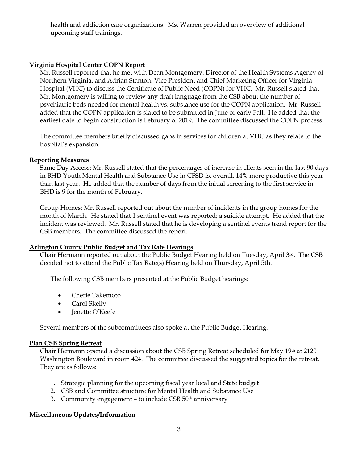health and addiction care organizations. Ms. Warren provided an overview of additional upcoming staff trainings.

## **Virginia Hospital Center COPN Report**

Mr. Russell reported that he met with Dean Montgomery, Director of the Health Systems Agency of Northern Virginia, and Adrian Stanton, Vice President and Chief Marketing Officer for Virginia Hospital (VHC) to discuss the Certificate of Public Need (COPN) for VHC. Mr. Russell stated that Mr. Montgomery is willing to review any draft language from the CSB about the number of psychiatric beds needed for mental health vs. substance use for the COPN application. Mr. Russell added that the COPN application is slated to be submitted in June or early Fall. He added that the earliest date to begin construction is February of 2019. The committee discussed the COPN process.

The committee members briefly discussed gaps in services for children at VHC as they relate to the hospital's expansion.

#### **Reporting Measures**

Same Day Access: Mr. Russell stated that the percentages of increase in clients seen in the last 90 days in BHD Youth Mental Health and Substance Use in CFSD is, overall, 14% more productive this year than last year. He added that the number of days from the initial screening to the first service in BHD is 9 for the month of February.

Group Homes: Mr. Russell reported out about the number of incidents in the group homes for the month of March. He stated that 1 sentinel event was reported; a suicide attempt. He added that the incident was reviewed. Mr. Russell stated that he is developing a sentinel events trend report for the CSB members. The committee discussed the report.

#### **Arlington County Public Budget and Tax Rate Hearings**

Chair Hermann reported out about the Public Budget Hearing held on Tuesday, April 3rd. The CSB decided not to attend the Public Tax Rate(s) Hearing held on Thursday, April 5th.

The following CSB members presented at the Public Budget hearings:

- Cherie Takemoto
- Carol Skelly
- Jenette O'Keefe

Several members of the subcommittees also spoke at the Public Budget Hearing.

#### **Plan CSB Spring Retreat**

Chair Hermann opened a discussion about the CSB Spring Retreat scheduled for May 19th at 2120 Washington Boulevard in room 424. The committee discussed the suggested topics for the retreat. They are as follows:

- 1. Strategic planning for the upcoming fiscal year local and State budget
- 2. CSB and Committee structure for Mental Health and Substance Use
- 3. Community engagement to include CSB 50th anniversary

#### **Miscellaneous Updates/Information**